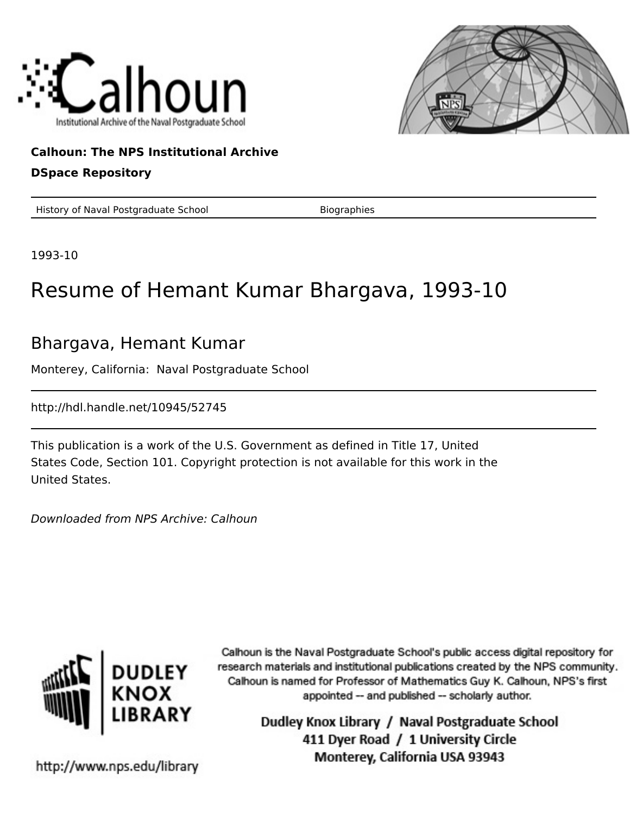



## **Calhoun: The NPS Institutional Archive DSpace Repository**

History of Naval Postgraduate School Biographies

1993-10

## Resume of Hemant Kumar Bhargava, 1993-10

## Bhargava, Hemant Kumar

Monterey, California: Naval Postgraduate School

http://hdl.handle.net/10945/52745

This publication is a work of the U.S. Government as defined in Title 17, United States Code, Section 101. Copyright protection is not available for this work in the United States.

Downloaded from NPS Archive: Calhoun



Calhoun is the Naval Postgraduate School's public access digital repository for research materials and institutional publications created by the NPS community. Calhoun is named for Professor of Mathematics Guy K. Calhoun, NPS's first appointed -- and published -- scholarly author.

> Dudley Knox Library / Naval Postgraduate School 411 Dyer Road / 1 University Circle Monterey, California USA 93943

http://www.nps.edu/library